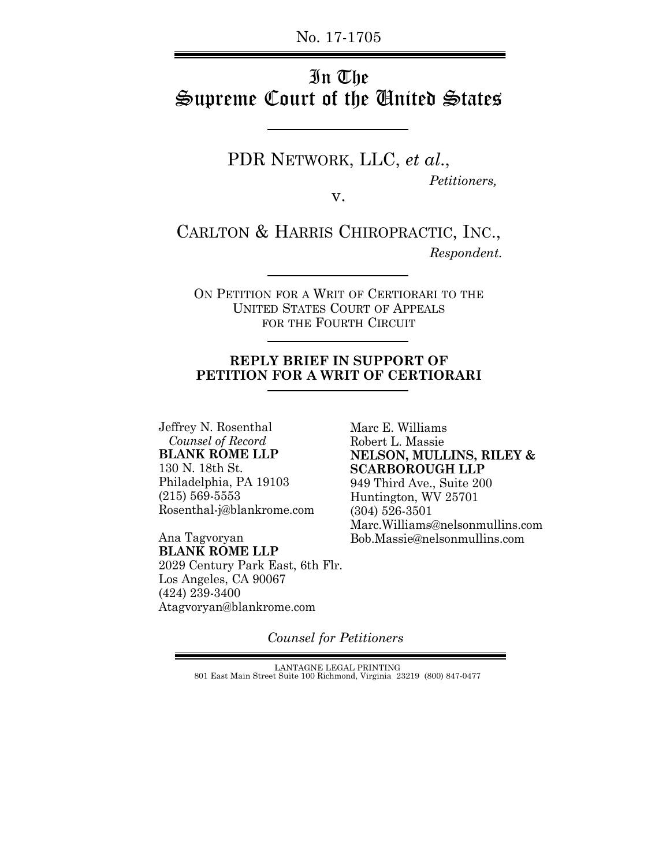No. 17-1705

# In The Supreme Court of the United States

PDR NETWORK, LLC, *et al*.,  *Petitioners,*

v.

CARLTON & HARRIS CHIROPRACTIC, INC.,  *Respondent.*

ON PETITION FOR A WRIT OF CERTIORARI TO THE UNITED STATES COURT OF APPEALS FOR THE FOURTH CIRCUIT

#### **REPLY BRIEF IN SUPPORT OF PETITION FOR A WRIT OF CERTIORARI**

Jeffrey N. Rosenthal  *Counsel of Record* **BLANK ROME LLP** 130 N. 18th St. Philadelphia, PA 19103 (215) 569-5553 Rosenthal-j@blankrome.com

Ana Tagvoryan **BLANK ROME LLP** 2029 Century Park East, 6th Flr. Los Angeles, CA 90067 (424) 239-3400 Atagvoryan@blankrome.com

Marc E. Williams Robert L. Massie **NELSON, MULLINS, RILEY & SCARBOROUGH LLP** 949 Third Ave., Suite 200 Huntington, WV 25701 (304) 526-3501 Marc.Williams@nelsonmullins.com Bob.Massie@nelsonmullins.com

*Counsel for Petitioners*

LANTAGNE LEGAL PRINTING 801 East Main Street Suite 100 Richmond, Virginia 23219 (800) 847-0477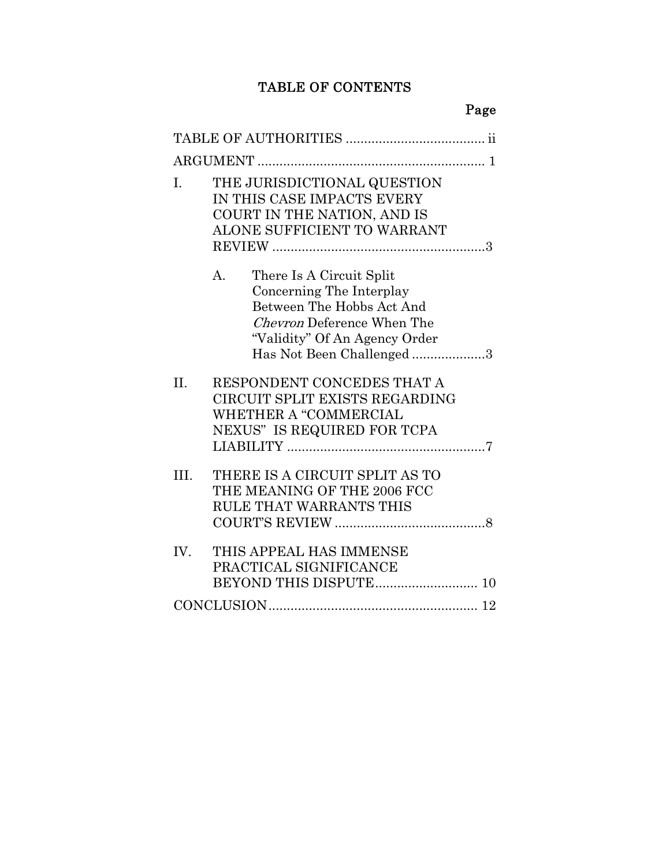## TABLE OF CONTENTS

Page

| I.      | THE JURISDICTIONAL QUESTION<br>IN THIS CASE IMPACTS EVERY<br>COURT IN THE NATION, AND IS<br>ALONE SUFFICIENT TO WARRANT                                                                        |
|---------|------------------------------------------------------------------------------------------------------------------------------------------------------------------------------------------------|
|         | There Is A Circuit Split<br>$A_{-}$<br>Concerning The Interplay<br>Between The Hobbs Act And<br><i>Chevron</i> Deference When The<br>"Validity" Of An Agency Order<br>Has Not Been Challenged3 |
| $\Pi$ . | RESPONDENT CONCEDES THAT A<br>CIRCUIT SPLIT EXISTS REGARDING<br>WHETHER A "COMMERCIAL<br>NEXUS" IS REQUIRED FOR TCPA                                                                           |
| III.    | THERE IS A CIRCUIT SPLIT AS TO<br>THE MEANING OF THE 2006 FCC<br>RULE THAT WARRANTS THIS                                                                                                       |
| IV.     | THIS APPEAL HAS IMMENSE<br>PRACTICAL SIGNIFICANCE                                                                                                                                              |
|         | $\textbf{CONCLUSION} \label{eq:convex} \textbf{CONCLUSION} \textcolor{red}{\textbf{12}}$                                                                                                       |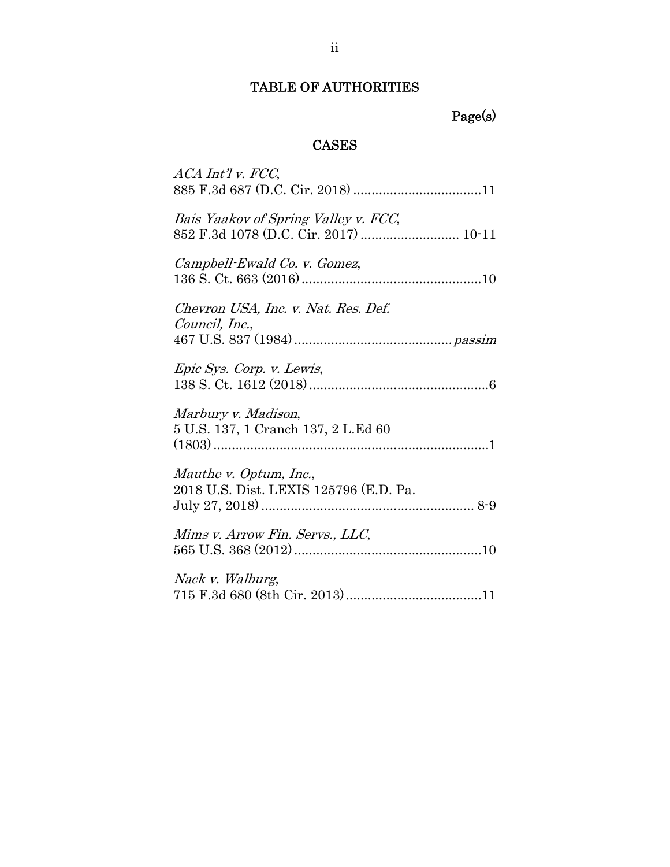## TABLE OF AUTHORITIES

# Page(s)

## CASES

| ACA Int'l v. FCC,                                                             |
|-------------------------------------------------------------------------------|
| Bais Yaakov of Spring Valley v. FCC,<br>852 F.3d 1078 (D.C. Cir. 2017)  10-11 |
| Campbell-Ewald Co. v. Gomez,                                                  |
| Chevron USA, Inc. v. Nat. Res. Def.<br>Council, Inc.,                         |
| Epic Sys. Corp. v. Lewis,                                                     |
| Marbury v. Madison,<br>5 U.S. 137, 1 Cranch 137, 2 L.Ed 60                    |
| Mauthe v. Optum, Inc.,<br>2018 U.S. Dist. LEXIS 125796 (E.D. Pa.              |
| Mims v. Arrow Fin. Servs., LLC,                                               |
| Nack v. Walburg,                                                              |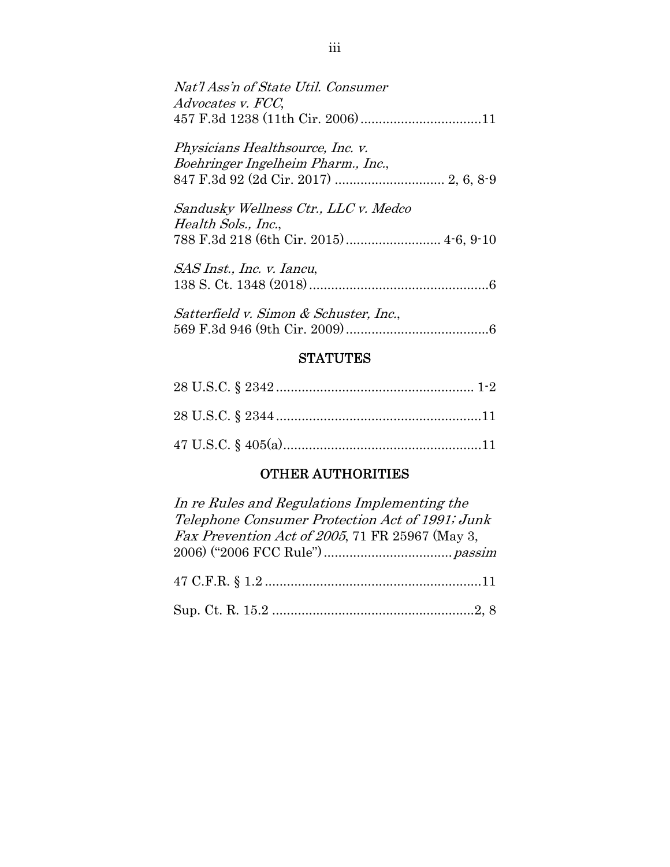| Nat'l Ass'n of State Util. Consumer<br>Advocates v. FCC,                                              |
|-------------------------------------------------------------------------------------------------------|
| Physicians Healthsource, Inc. v.<br>Boehringer Ingelheim Pharm., Inc.,                                |
| Sandusky Wellness Ctr., LLC v. Medco<br>Health Sols., Inc.,<br>788 F.3d 218 (6th Cir. 2015) 4-6, 9-10 |
| <i>SAS Inst., Inc. v. Iancu,</i>                                                                      |
| Satterfield v. Simon & Schuster, Inc.,                                                                |

## **STATUTES**

## OTHER AUTHORITIES

| In re Rules and Regulations Implementing the    |
|-------------------------------------------------|
| Telephone Consumer Protection Act of 1991; Junk |
| Fax Prevention Act of 2005, 71 FR 25967 (May 3, |
|                                                 |
|                                                 |
|                                                 |
|                                                 |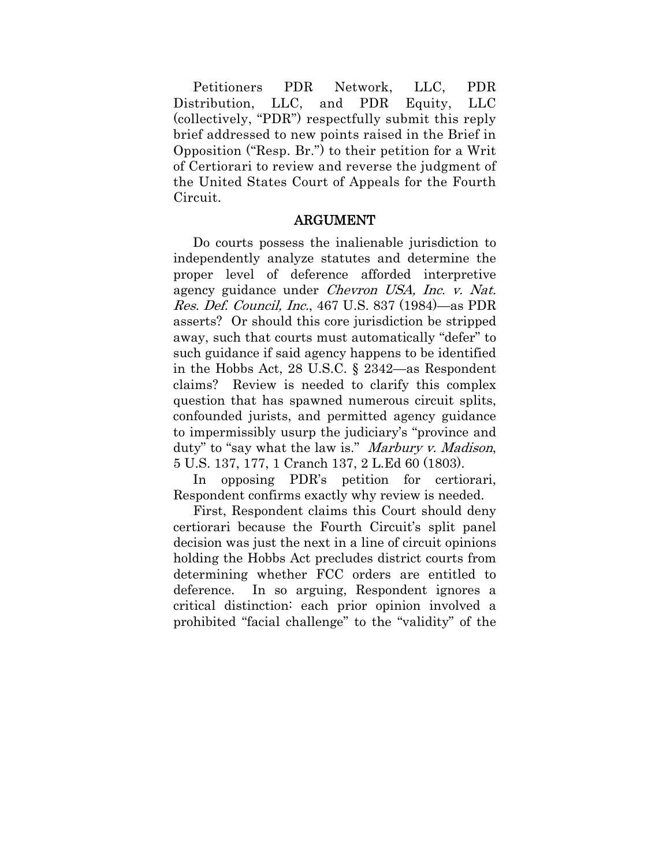Petitioners PDR Network, LLC, PDR Distribution, LLC, and PDR Equity, LLC (collectively, "PDR") respectfully submit this reply brief addressed to new points raised in the Brief in Opposition ("Resp. Br.") to their petition for a Writ of Certiorari to review and reverse the judgment of the United States Court of Appeals for the Fourth Circuit.

#### ARGUMENT

Do courts possess the inalienable jurisdiction to independently analyze statutes and determine the proper level of deference afforded interpretive agency guidance under Chevron USA, Inc. v. Nat. Res. Def. Council, Inc., 467 U.S. 837 (1984)—as PDR asserts? Or should this core jurisdiction be stripped away, such that courts must automatically "defer" to such guidance if said agency happens to be identified in the Hobbs Act, 28 U.S.C. § 2342—as Respondent claims? Review is needed to clarify this complex question that has spawned numerous circuit splits, confounded jurists, and permitted agency guidance to impermissibly usurp the judiciary's "province and duty" to "say what the law is." Marbury v. Madison, 5 U.S. 137, 177, 1 Cranch 137, 2 L.Ed 60 (1803).

In opposing PDR's petition for certiorari, Respondent confirms exactly why review is needed.

First, Respondent claims this Court should deny certiorari because the Fourth Circuit's split panel decision was just the next in a line of circuit opinions holding the Hobbs Act precludes district courts from determining whether FCC orders are entitled to deference. In so arguing, Respondent ignores a critical distinction: each prior opinion involved a prohibited "facial challenge" to the "validity" of the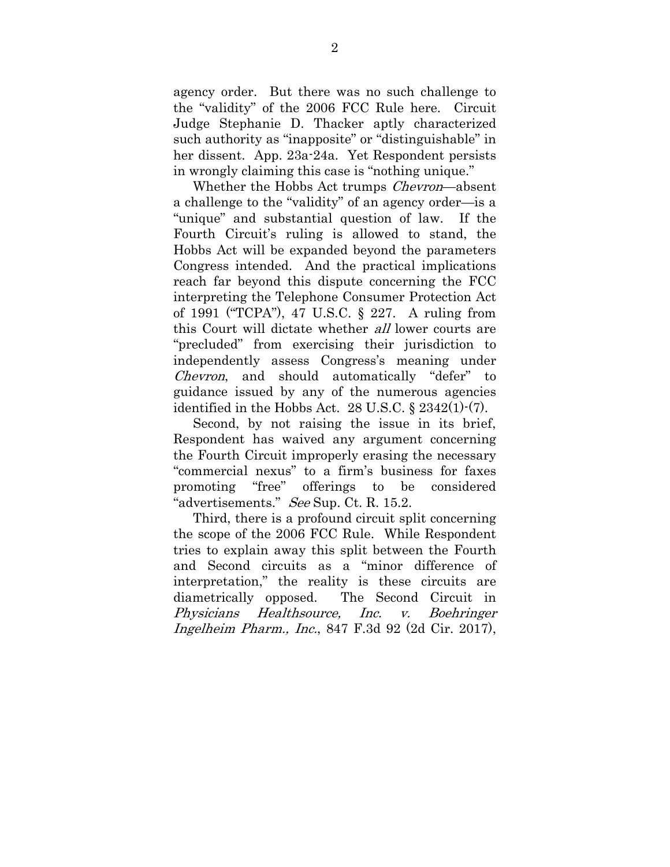agency order. But there was no such challenge to the "validity" of the 2006 FCC Rule here. Circuit Judge Stephanie D. Thacker aptly characterized such authority as "inapposite" or "distinguishable" in her dissent. App. 23a-24a. Yet Respondent persists in wrongly claiming this case is "nothing unique."

Whether the Hobbs Act trumps *Chevron*—absent a challenge to the "validity" of an agency order—is a "unique" and substantial question of law. If the Fourth Circuit's ruling is allowed to stand, the Hobbs Act will be expanded beyond the parameters Congress intended. And the practical implications reach far beyond this dispute concerning the FCC interpreting the Telephone Consumer Protection Act of 1991 ("TCPA"), 47 U.S.C. § 227. A ruling from this Court will dictate whether all lower courts are "precluded" from exercising their jurisdiction to independently assess Congress's meaning under Chevron, and should automatically "defer" to guidance issued by any of the numerous agencies identified in the Hobbs Act. 28 U.S.C. § 2342(1)-(7).

Second, by not raising the issue in its brief, Respondent has waived any argument concerning the Fourth Circuit improperly erasing the necessary "commercial nexus" to a firm's business for faxes promoting "free" offerings to be considered "advertisements." See Sup. Ct. R. 15.2.

Third, there is a profound circuit split concerning the scope of the 2006 FCC Rule. While Respondent tries to explain away this split between the Fourth and Second circuits as a "minor difference of interpretation," the reality is these circuits are diametrically opposed. The Second Circuit in Physicians Healthsource, Inc. v. Boehringer Ingelheim Pharm., Inc., 847 F.3d 92 (2d Cir. 2017),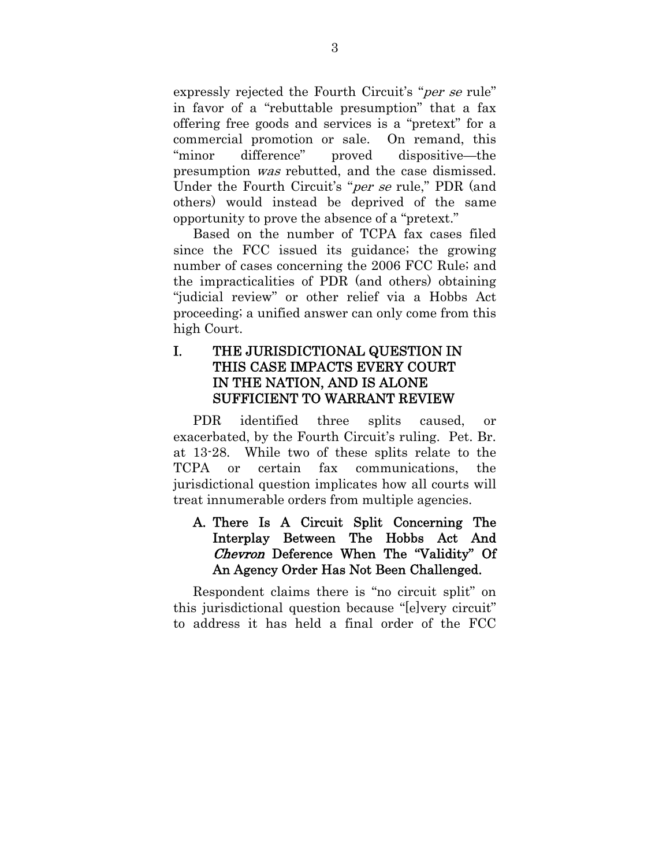expressly rejected the Fourth Circuit's "*per se* rule" in favor of a "rebuttable presumption" that a fax offering free goods and services is a "pretext" for a commercial promotion or sale. On remand, this "minor difference" proved dispositive—the presumption was rebutted, and the case dismissed. Under the Fourth Circuit's "*per se* rule," PDR (and others) would instead be deprived of the same opportunity to prove the absence of a "pretext."

Based on the number of TCPA fax cases filed since the FCC issued its guidance; the growing number of cases concerning the 2006 FCC Rule; and the impracticalities of PDR (and others) obtaining "judicial review" or other relief via a Hobbs Act proceeding; a unified answer can only come from this high Court.

### I. THE JURISDICTIONAL QUESTION IN THIS CASE IMPACTS EVERY COURT IN THE NATION, AND IS ALONE SUFFICIENT TO WARRANT REVIEW

PDR identified three splits caused, or exacerbated, by the Fourth Circuit's ruling. Pet. Br. at 13-28. While two of these splits relate to the TCPA or certain fax communications, the jurisdictional question implicates how all courts will treat innumerable orders from multiple agencies.

## A. There Is A Circuit Split Concerning The Interplay Between The Hobbs Act And Chevron Deference When The "Validity" Of An Agency Order Has Not Been Challenged.

Respondent claims there is "no circuit split" on this jurisdictional question because "[e]very circuit" to address it has held a final order of the FCC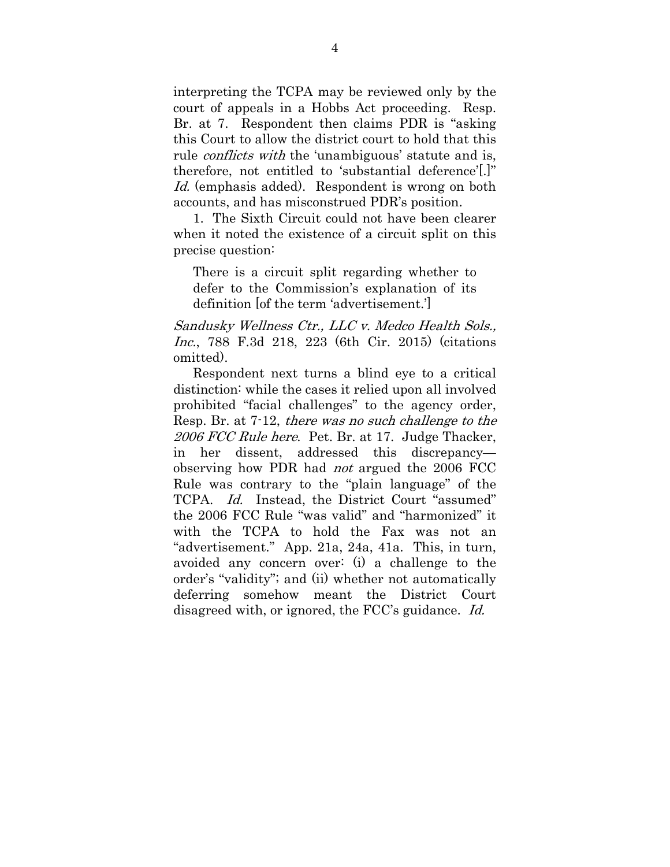interpreting the TCPA may be reviewed only by the court of appeals in a Hobbs Act proceeding. Resp. Br. at 7. Respondent then claims PDR is "asking this Court to allow the district court to hold that this rule *conflicts with* the 'unambiguous' statute and is, therefore, not entitled to 'substantial deference'[.]" Id. (emphasis added). Respondent is wrong on both accounts, and has misconstrued PDR's position.

1. The Sixth Circuit could not have been clearer when it noted the existence of a circuit split on this precise question:

There is a circuit split regarding whether to defer to the Commission's explanation of its definition [of the term 'advertisement.']

Sandusky Wellness Ctr., LLC v. Medco Health Sols., Inc., 788 F.3d 218, 223 (6th Cir. 2015) (citations omitted).

Respondent next turns a blind eye to a critical distinction: while the cases it relied upon all involved prohibited "facial challenges" to the agency order, Resp. Br. at 7-12, there was no such challenge to the 2006 FCC Rule here. Pet. Br. at 17. Judge Thacker, in her dissent, addressed this discrepancy observing how PDR had not argued the 2006 FCC Rule was contrary to the "plain language" of the TCPA. Id. Instead, the District Court "assumed" the 2006 FCC Rule "was valid" and "harmonized" it with the TCPA to hold the Fax was not an "advertisement." App. 21a, 24a, 41a. This, in turn, avoided any concern over: (i) a challenge to the order's "validity"; and (ii) whether not automatically deferring somehow meant the District Court disagreed with, or ignored, the FCC's guidance. Id.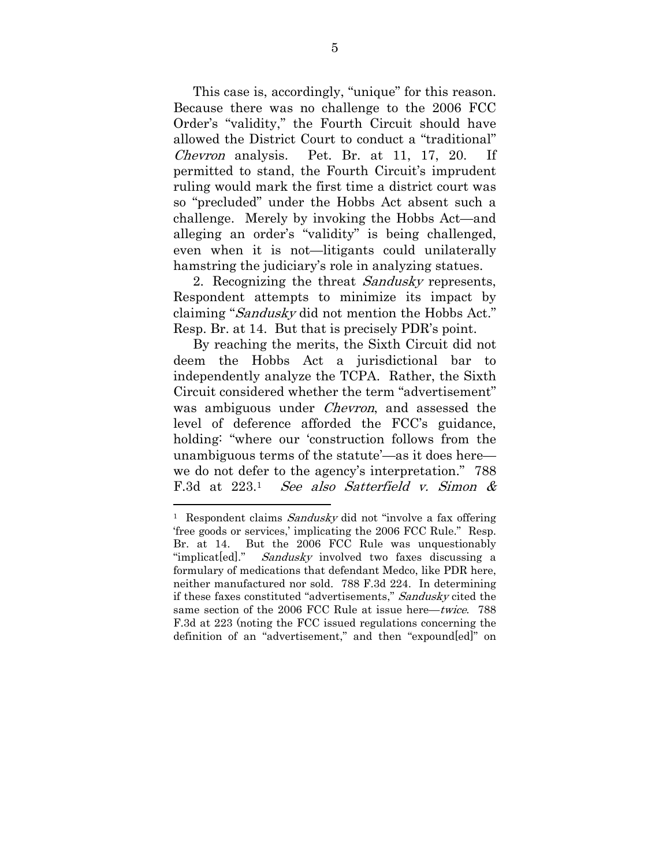This case is, accordingly, "unique" for this reason. Because there was no challenge to the 2006 FCC Order's "validity," the Fourth Circuit should have allowed the District Court to conduct a "traditional" Chevron analysis. Pet. Br. at 11, 17, 20. If permitted to stand, the Fourth Circuit's imprudent ruling would mark the first time a district court was so "precluded" under the Hobbs Act absent such a challenge. Merely by invoking the Hobbs Act—and alleging an order's "validity" is being challenged, even when it is not—litigants could unilaterally hamstring the judiciary's role in analyzing statues.

2. Recognizing the threat *Sandusky* represents, Respondent attempts to minimize its impact by claiming "Sandusky did not mention the Hobbs Act." Resp. Br. at 14. But that is precisely PDR's point.

By reaching the merits, the Sixth Circuit did not deem the Hobbs Act a jurisdictional bar to independently analyze the TCPA. Rather, the Sixth Circuit considered whether the term "advertisement" was ambiguous under *Chevron*, and assessed the level of deference afforded the FCC's guidance, holding: "where our 'construction follows from the unambiguous terms of the statute'—as it does here we do not defer to the agency's interpretation." 788 F.3d at 223.1 See also Satterfield v. Simon &

<sup>&</sup>lt;sup>1</sup> Respondent claims Sandusky did not "involve a fax offering" 'free goods or services,' implicating the 2006 FCC Rule." Resp. Br. at 14. But the 2006 FCC Rule was unquestionably "implicat [ed]." *Sandusky* involved two faxes discussing a formulary of medications that defendant Medco, like PDR here, neither manufactured nor sold. 788 F.3d 224. In determining if these faxes constituted "advertisements," Sandusky cited the same section of the 2006 FCC Rule at issue here—twice. 788 F.3d at 223 (noting the FCC issued regulations concerning the definition of an "advertisement," and then "expound[ed]" on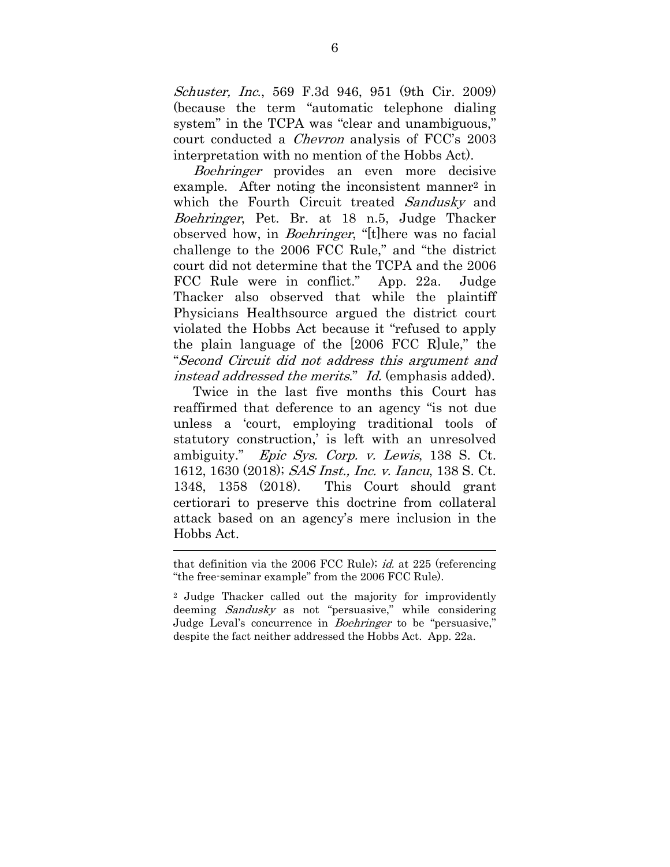Schuster, Inc., 569 F.3d 946, 951 (9th Cir. 2009) (because the term "automatic telephone dialing system" in the TCPA was "clear and unambiguous," court conducted a Chevron analysis of FCC's 2003 interpretation with no mention of the Hobbs Act).

Boehringer provides an even more decisive example. After noting the inconsistent manner<sup>2</sup> in which the Fourth Circuit treated Sandusky and Boehringer, Pet. Br. at 18 n.5, Judge Thacker observed how, in *Boehringer*, "[t]here was no facial challenge to the 2006 FCC Rule," and "the district court did not determine that the TCPA and the 2006 FCC Rule were in conflict." App. 22a. Judge Thacker also observed that while the plaintiff Physicians Healthsource argued the district court violated the Hobbs Act because it "refused to apply the plain language of the [2006 FCC R]ule," the "Second Circuit did not address this argument and instead addressed the merits." Id. (emphasis added).

Twice in the last five months this Court has reaffirmed that deference to an agency "is not due unless a 'court, employing traditional tools of statutory construction,' is left with an unresolved ambiguity." Epic Sys. Corp. v. Lewis, 138 S. Ct. 1612, 1630 (2018); SAS Inst., Inc. v. Iancu, 138 S. Ct. 1348, 1358 (2018). This Court should grant certiorari to preserve this doctrine from collateral attack based on an agency's mere inclusion in the Hobbs Act.

that definition via the 2006 FCC Rule); id. at 225 (referencing "the free-seminar example" from the 2006 FCC Rule).

<sup>2</sup> Judge Thacker called out the majority for improvidently deeming Sandusky as not "persuasive," while considering Judge Leval's concurrence in *Boehringer* to be "persuasive," despite the fact neither addressed the Hobbs Act. App. 22a.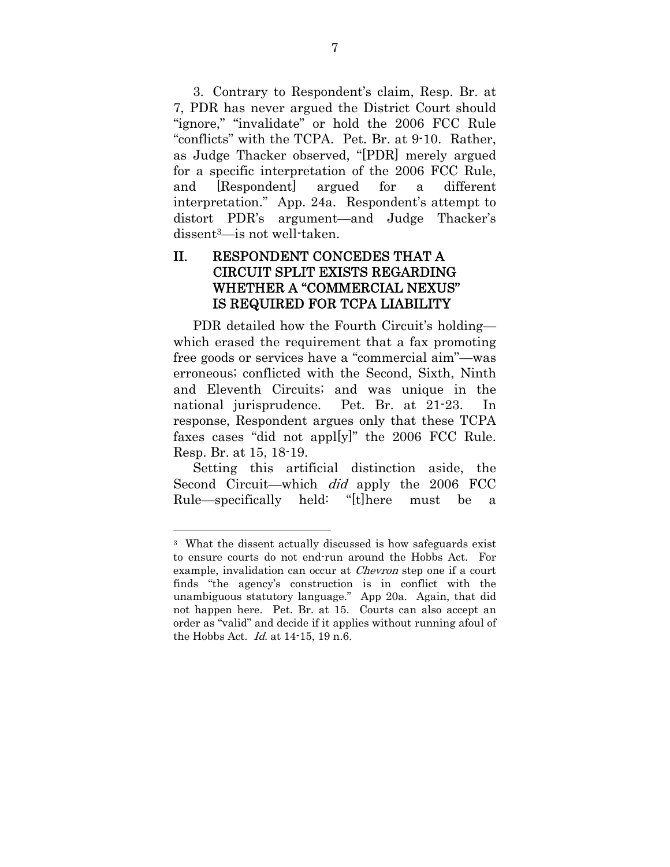3. Contrary to Respondent's claim, Resp. Br. at 7, PDR has never argued the District Court should "ignore," "invalidate" or hold the 2006 FCC Rule "conflicts" with the TCPA. Pet. Br. at 9-10. Rather, as Judge Thacker observed, "[PDR] merely argued for a specific interpretation of the 2006 FCC Rule, and [Respondent] argued for a different interpretation." App. 24a. Respondent's attempt to distort PDR's argument—and Judge Thacker's dissent3—is not well-taken.

### II. RESPONDENT CONCEDES THAT A CIRCUIT SPLIT EXISTS REGARDING WHETHER A "COMMERCIAL NEXUS" IS REQUIRED FOR TCPA LIABILITY

PDR detailed how the Fourth Circuit's holding which erased the requirement that a fax promoting free goods or services have a "commercial aim"—was erroneous; conflicted with the Second, Sixth, Ninth and Eleventh Circuits; and was unique in the national jurisprudence. Pet. Br. at 21-23. In response, Respondent argues only that these TCPA faxes cases "did not appl[y]" the 2006 FCC Rule. Resp. Br. at 15, 18-19.

Setting this artificial distinction aside, the Second Circuit—which *did* apply the 2006 FCC Rule—specifically held: "[t]here must be a

<sup>3</sup> What the dissent actually discussed is how safeguards exist to ensure courts do not end-run around the Hobbs Act. For example, invalidation can occur at *Chevron* step one if a court finds "the agency's construction is in conflict with the unambiguous statutory language." App 20a. Again, that did not happen here. Pet. Br. at 15. Courts can also accept an order as "valid" and decide if it applies without running afoul of the Hobbs Act. Id. at 14-15, 19 n.6.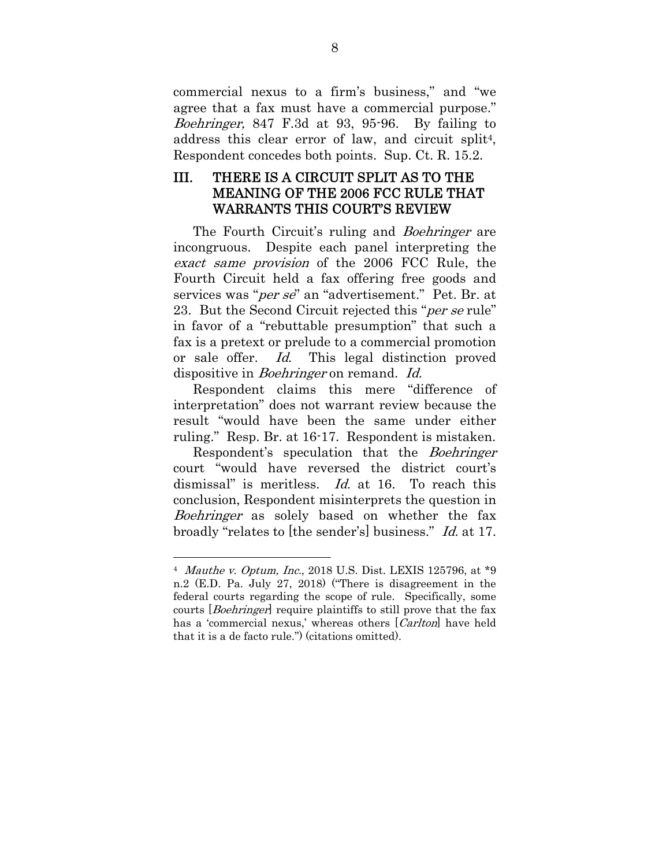commercial nexus to a firm's business," and "we agree that a fax must have a commercial purpose." Boehringer, 847 F.3d at 93, 95-96. By failing to address this clear error of law, and circuit split<sup>4</sup>, Respondent concedes both points. Sup. Ct. R. 15.2.

## III. THERE IS A CIRCUIT SPLIT AS TO THE MEANING OF THE 2006 FCC RULE THAT WARRANTS THIS COURT'S REVIEW

The Fourth Circuit's ruling and *Boehringer* are incongruous. Despite each panel interpreting the exact same provision of the 2006 FCC Rule, the Fourth Circuit held a fax offering free goods and services was "*per se*" an "advertisement." Pet. Br. at 23. But the Second Circuit rejected this "*per se* rule" in favor of a "rebuttable presumption" that such a fax is a pretext or prelude to a commercial promotion or sale offer. Id. This legal distinction proved dispositive in *Boehringer* on remand. *Id.* 

Respondent claims this mere "difference of interpretation" does not warrant review because the result "would have been the same under either ruling." Resp. Br. at 16-17. Respondent is mistaken.

Respondent's speculation that the Boehringer court "would have reversed the district court's dismissal" is meritless. *Id.* at 16. To reach this conclusion, Respondent misinterprets the question in Boehringer as solely based on whether the fax broadly "relates to [the sender's] business." Id. at 17.

 $\overline{a}$ 4 Mauthe v. Optum, Inc., 2018 U.S. Dist. LEXIS 125796, at \*9 n.2 (E.D. Pa. July 27, 2018) ("There is disagreement in the federal courts regarding the scope of rule. Specifically, some courts *[Boehringer]* require plaintiffs to still prove that the fax has a 'commercial nexus,' whereas others [Carlton] have held that it is a de facto rule.") (citations omitted).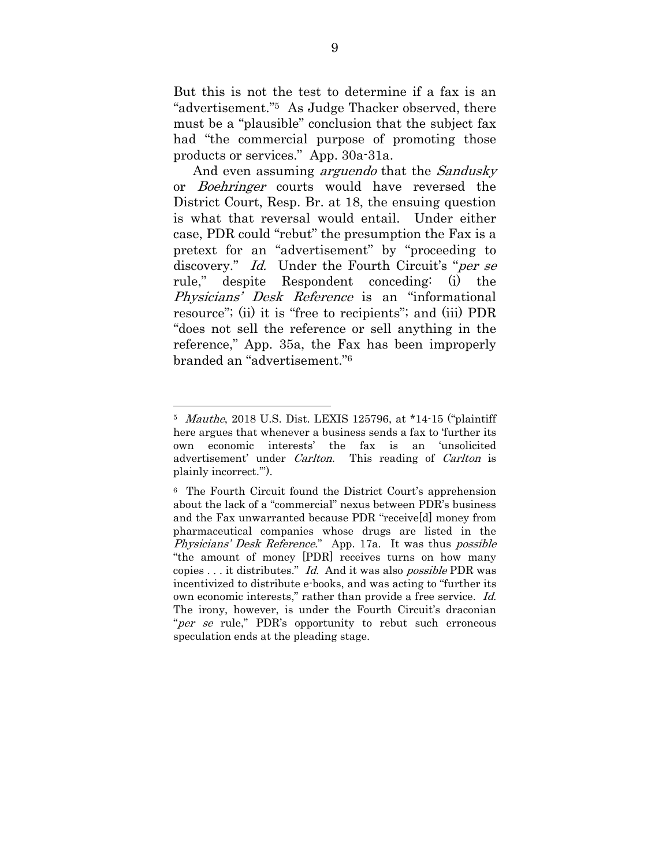But this is not the test to determine if a fax is an "advertisement."5 As Judge Thacker observed, there must be a "plausible" conclusion that the subject fax had "the commercial purpose of promoting those products or services." App. 30a-31a.

And even assuming *arguendo* that the *Sandusky* or Boehringer courts would have reversed the District Court, Resp. Br. at 18, the ensuing question is what that reversal would entail. Under either case, PDR could "rebut" the presumption the Fax is a pretext for an "advertisement" by "proceeding to discovery." Id. Under the Fourth Circuit's "per se rule," despite Respondent conceding: (i) the Physicians' Desk Reference is an "informational resource"; (ii) it is "free to recipients"; and (iii) PDR "does not sell the reference or sell anything in the reference," App. 35a, the Fax has been improperly branded an "advertisement."6

<sup>5</sup> Mauthe, 2018 U.S. Dist. LEXIS 125796, at \*14-15 ("plaintiff here argues that whenever a business sends a fax to 'further its own economic interests' the fax is an 'unsolicited advertisement' under *Carlton*. This reading of *Carlton* is plainly incorrect.'").

<sup>6</sup> The Fourth Circuit found the District Court's apprehension about the lack of a "commercial" nexus between PDR's business and the Fax unwarranted because PDR "receive[d] money from pharmaceutical companies whose drugs are listed in the Physicians' Desk Reference." App. 17a. It was thus possible "the amount of money [PDR] receives turns on how many copies . . . it distributes." Id. And it was also possible PDR was incentivized to distribute e-books, and was acting to "further its own economic interests," rather than provide a free service. Id. The irony, however, is under the Fourth Circuit's draconian "*per se* rule," PDR's opportunity to rebut such erroneous speculation ends at the pleading stage.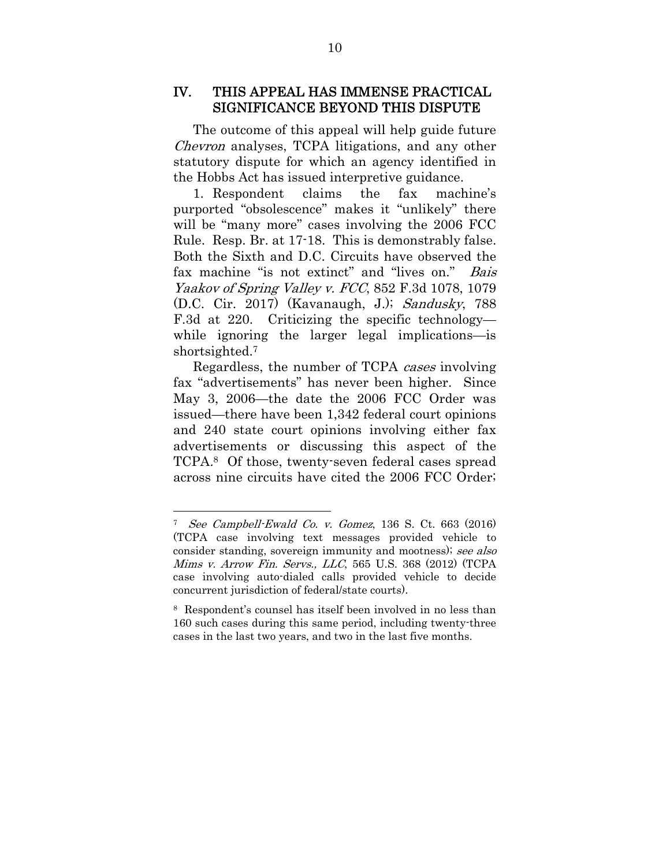### IV. THIS APPEAL HAS IMMENSE PRACTICAL SIGNIFICANCE BEYOND THIS DISPUTE

The outcome of this appeal will help guide future Chevron analyses, TCPA litigations, and any other statutory dispute for which an agency identified in the Hobbs Act has issued interpretive guidance.

1. Respondent claims the fax machine's purported "obsolescence" makes it "unlikely" there will be "many more" cases involving the 2006 FCC Rule. Resp. Br. at 17-18. This is demonstrably false. Both the Sixth and D.C. Circuits have observed the fax machine "is not extinct" and "lives on." Bais Yaakov of Spring Valley v. FCC, 852 F.3d 1078, 1079 (D.C. Cir. 2017) (Kavanaugh, J.); Sandusky, 788 F.3d at 220. Criticizing the specific technology while ignoring the larger legal implications—is shortsighted.7

Regardless, the number of TCPA cases involving fax "advertisements" has never been higher. Since May 3, 2006—the date the 2006 FCC Order was issued—there have been 1,342 federal court opinions and 240 state court opinions involving either fax advertisements or discussing this aspect of the TCPA. <sup>8</sup> Of those, twenty-seven federal cases spread across nine circuits have cited the 2006 FCC Order;

<sup>7</sup> See Campbell-Ewald Co. v. Gomez, 136 S. Ct. 663 (2016) (TCPA case involving text messages provided vehicle to consider standing, sovereign immunity and mootness); see also Mims v. Arrow Fin. Servs., LLC, 565 U.S. 368 (2012) (TCPA case involving auto-dialed calls provided vehicle to decide concurrent jurisdiction of federal/state courts).

<sup>8</sup> Respondent's counsel has itself been involved in no less than 160 such cases during this same period, including twenty-three cases in the last two years, and two in the last five months.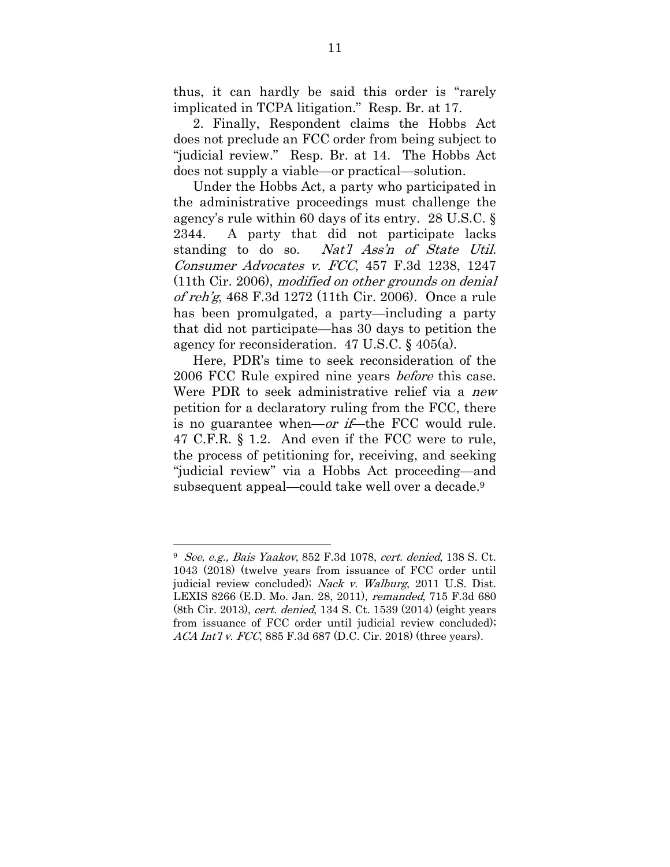thus, it can hardly be said this order is "rarely implicated in TCPA litigation." Resp. Br. at 17.

2. Finally, Respondent claims the Hobbs Act does not preclude an FCC order from being subject to "judicial review." Resp. Br. at 14. The Hobbs Act does not supply a viable—or practical—solution.

Under the Hobbs Act, a party who participated in the administrative proceedings must challenge the agency's rule within 60 days of its entry. 28 U.S.C. § 2344. A party that did not participate lacks standing to do so. Nat'l Ass'n of State Util. Consumer Advocates v. FCC, 457 F.3d 1238, 1247 (11th Cir. 2006), modified on other grounds on denial of reh'g, 468 F.3d 1272 (11th Cir. 2006). Once a rule has been promulgated, a party—including a party that did not participate—has 30 days to petition the agency for reconsideration. 47 U.S.C. § 405(a).

Here, PDR's time to seek reconsideration of the 2006 FCC Rule expired nine years *before* this case. Were PDR to seek administrative relief via a new petition for a declaratory ruling from the FCC, there is no guarantee when—or if—the FCC would rule. 47 C.F.R. § 1.2. And even if the FCC were to rule, the process of petitioning for, receiving, and seeking "judicial review" via a Hobbs Act proceeding—and subsequent appeal—could take well over a decade.9

<sup>9</sup> See, e.g., Bais Yaakov, 852 F.3d 1078, cert. denied, 138 S. Ct. 1043 (2018) (twelve years from issuance of FCC order until judicial review concluded); Nack v. Walburg, 2011 U.S. Dist. LEXIS 8266 (E.D. Mo. Jan. 28, 2011), remanded, 715 F.3d 680 (8th Cir. 2013), cert. denied, 134 S. Ct. 1539 (2014) (eight years from issuance of FCC order until judicial review concluded); ACA Int'l v. FCC, 885 F.3d 687 (D.C. Cir. 2018) (three years).